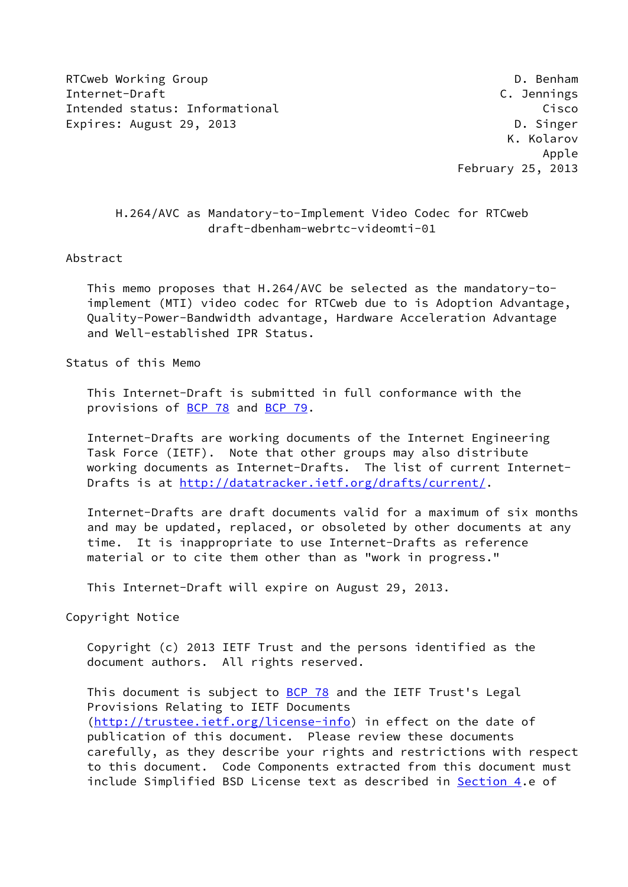RTCweb Working Group **D. Benham** Internet-Draft C. Jennings Intended status: Informational Contractional Cisco Expires: August 29, 2013 **D. Singer** 

 K. Kolarov Apple February 25, 2013

# H.264/AVC as Mandatory-to-Implement Video Codec for RTCweb draft-dbenham-webrtc-videomti-01

#### Abstract

 This memo proposes that H.264/AVC be selected as the mandatory-to implement (MTI) video codec for RTCweb due to is Adoption Advantage, Quality-Power-Bandwidth advantage, Hardware Acceleration Advantage and Well-established IPR Status.

Status of this Memo

 This Internet-Draft is submitted in full conformance with the provisions of [BCP 78](https://datatracker.ietf.org/doc/pdf/bcp78) and [BCP 79](https://datatracker.ietf.org/doc/pdf/bcp79).

 Internet-Drafts are working documents of the Internet Engineering Task Force (IETF). Note that other groups may also distribute working documents as Internet-Drafts. The list of current Internet Drafts is at<http://datatracker.ietf.org/drafts/current/>.

 Internet-Drafts are draft documents valid for a maximum of six months and may be updated, replaced, or obsoleted by other documents at any time. It is inappropriate to use Internet-Drafts as reference material or to cite them other than as "work in progress."

This Internet-Draft will expire on August 29, 2013.

Copyright Notice

 Copyright (c) 2013 IETF Trust and the persons identified as the document authors. All rights reserved.

This document is subject to **[BCP 78](https://datatracker.ietf.org/doc/pdf/bcp78)** and the IETF Trust's Legal Provisions Relating to IETF Documents [\(http://trustee.ietf.org/license-info](http://trustee.ietf.org/license-info)) in effect on the date of publication of this document. Please review these documents carefully, as they describe your rights and restrictions with respect to this document. Code Components extracted from this document must include Simplified BSD License text as described in [Section 4.](#page-3-0)e of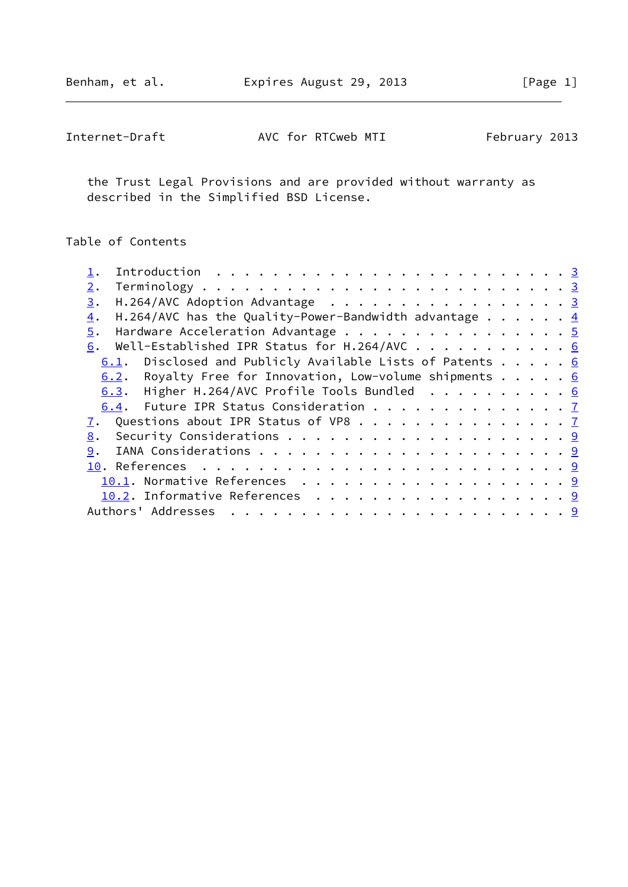Internet-Draft AVC for RTCweb MTI February 2013

 the Trust Legal Provisions and are provided without warranty as described in the Simplified BSD License.

# Table of Contents

| Introduction $\ldots \ldots \ldots \ldots \ldots \ldots \ldots \ldots \ldots \ldots$ |  |
|--------------------------------------------------------------------------------------|--|
| 2.                                                                                   |  |
| 3.<br>H.264/AVC Adoption Advantage 3                                                 |  |
| H.264/AVC has the Quality-Power-Bandwidth advantage $\ldots$ 4<br>4.                 |  |
| Hardware Acceleration Advantage 5<br>5.                                              |  |
| 6. Well-Established IPR Status for H.264/AVC 6                                       |  |
| 6.1. Disclosed and Publicly Available Lists of Patents 6                             |  |
| 6.2. Royalty Free for Innovation, Low-volume shipments $\cdots$ 6                    |  |
| 6.3. Higher H.264/AVC Profile Tools Bundled 6                                        |  |
| 6.4. Future IPR Status Consideration 7                                               |  |
| 7. Questions about IPR Status of VP8 7                                               |  |
|                                                                                      |  |
| 9.                                                                                   |  |
|                                                                                      |  |
| 10.1. Normative References 9                                                         |  |
| 10.2. Informative References 9                                                       |  |
| Authors' Addresses                                                                   |  |
|                                                                                      |  |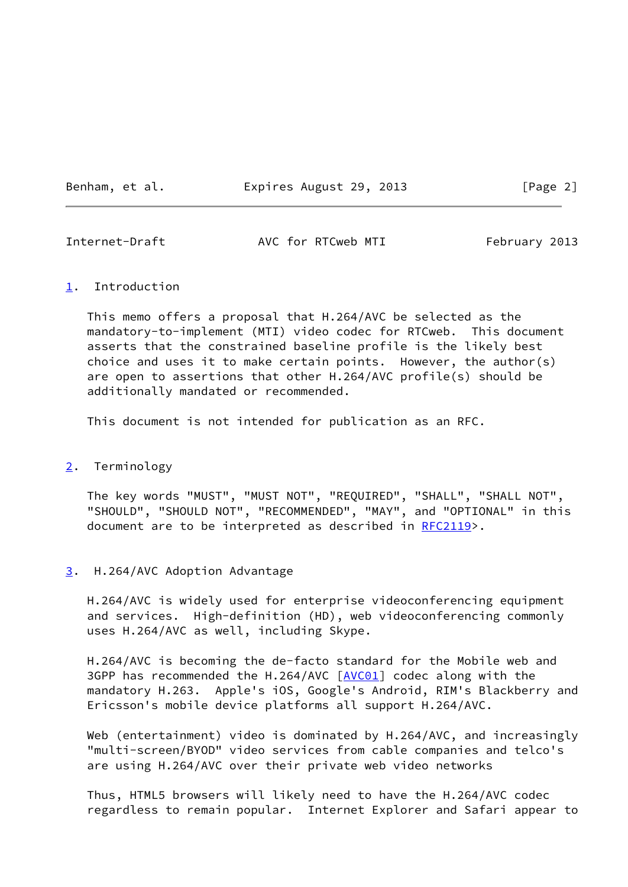Benham, et al. **Expires August 29, 2013** [Page 2]

<span id="page-2-1"></span>Internet-Draft AVC for RTCweb MTI February 2013

#### <span id="page-2-0"></span>[1](#page-2-0). Introduction

 This memo offers a proposal that H.264/AVC be selected as the mandatory-to-implement (MTI) video codec for RTCweb. This document asserts that the constrained baseline profile is the likely best choice and uses it to make certain points. However, the author(s) are open to assertions that other H.264/AVC profile(s) should be additionally mandated or recommended.

This document is not intended for publication as an RFC.

### <span id="page-2-2"></span>[2](#page-2-2). Terminology

 The key words "MUST", "MUST NOT", "REQUIRED", "SHALL", "SHALL NOT", "SHOULD", "SHOULD NOT", "RECOMMENDED", "MAY", and "OPTIONAL" in this document are to be interpreted as described in [RFC2119](https://datatracker.ietf.org/doc/pdf/rfc2119)>.

### <span id="page-2-3"></span>[3](#page-2-3). H.264/AVC Adoption Advantage

 H.264/AVC is widely used for enterprise videoconferencing equipment and services. High-definition (HD), web videoconferencing commonly uses H.264/AVC as well, including Skype.

 H.264/AVC is becoming the de-facto standard for the Mobile web and 3GPP has recommended the H.264/AVC [[AVC01\]](#page-9-6) codec along with the mandatory H.263. Apple's iOS, Google's Android, RIM's Blackberry and Ericsson's mobile device platforms all support H.264/AVC.

Web (entertainment) video is dominated by H.264/AVC, and increasingly "multi-screen/BYOD" video services from cable companies and telco's are using H.264/AVC over their private web video networks

 Thus, HTML5 browsers will likely need to have the H.264/AVC codec regardless to remain popular. Internet Explorer and Safari appear to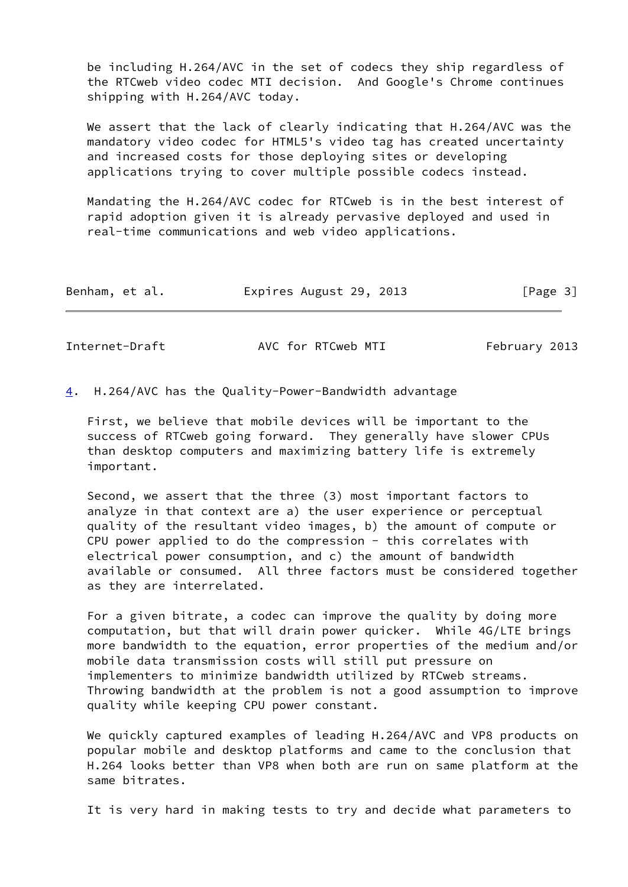be including H.264/AVC in the set of codecs they ship regardless of the RTCweb video codec MTI decision. And Google's Chrome continues shipping with H.264/AVC today.

 We assert that the lack of clearly indicating that H.264/AVC was the mandatory video codec for HTML5's video tag has created uncertainty and increased costs for those deploying sites or developing applications trying to cover multiple possible codecs instead.

 Mandating the H.264/AVC codec for RTCweb is in the best interest of rapid adoption given it is already pervasive deployed and used in real-time communications and web video applications.

| Expires August 29, 2013<br>Benham, et al. | [Page 3] |
|-------------------------------------------|----------|
|-------------------------------------------|----------|

<span id="page-3-1"></span>Internet-Draft AVC for RTCweb MTI February 2013

<span id="page-3-0"></span>[4](#page-3-0). H.264/AVC has the Quality-Power-Bandwidth advantage

 First, we believe that mobile devices will be important to the success of RTCweb going forward. They generally have slower CPUs than desktop computers and maximizing battery life is extremely important.

 Second, we assert that the three (3) most important factors to analyze in that context are a) the user experience or perceptual quality of the resultant video images, b) the amount of compute or CPU power applied to do the compression - this correlates with electrical power consumption, and c) the amount of bandwidth available or consumed. All three factors must be considered together as they are interrelated.

 For a given bitrate, a codec can improve the quality by doing more computation, but that will drain power quicker. While 4G/LTE brings more bandwidth to the equation, error properties of the medium and/or mobile data transmission costs will still put pressure on implementers to minimize bandwidth utilized by RTCweb streams. Throwing bandwidth at the problem is not a good assumption to improve quality while keeping CPU power constant.

 We quickly captured examples of leading H.264/AVC and VP8 products on popular mobile and desktop platforms and came to the conclusion that H.264 looks better than VP8 when both are run on same platform at the same bitrates.

It is very hard in making tests to try and decide what parameters to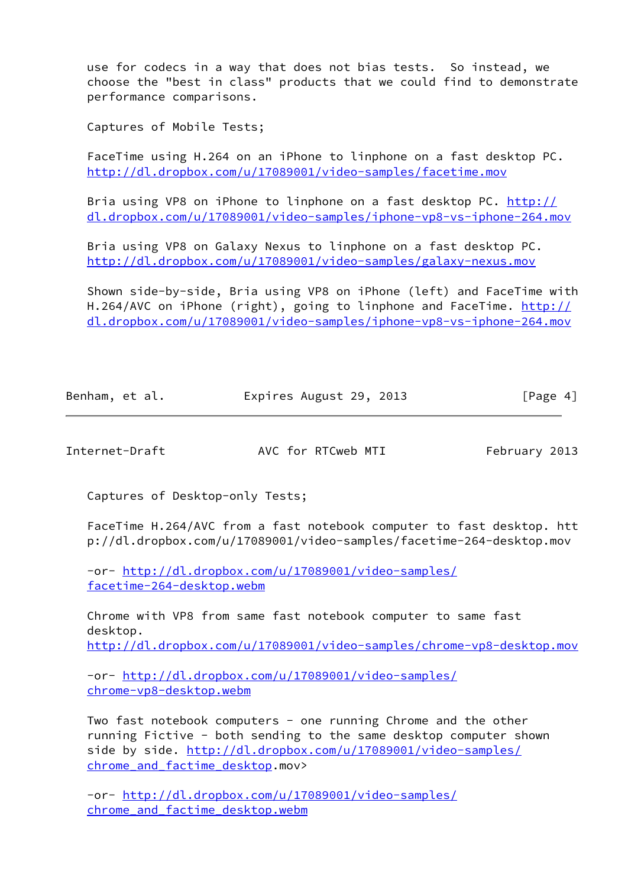use for codecs in a way that does not bias tests. So instead, we choose the "best in class" products that we could find to demonstrate performance comparisons.

Captures of Mobile Tests;

 FaceTime using H.264 on an iPhone to linphone on a fast desktop PC. <http://dl.dropbox.com/u/17089001/video-samples/facetime.mov>

Bria using VP8 on iPhone to linphone on a fast desktop PC. [http://](http://dl.dropbox.com/u/17089001/video-samples/iphone-vp8-vs-iphone-264.mov) [dl.dropbox.com/u/17089001/video-samples/iphone-vp8-vs-iphone-264.mov](http://dl.dropbox.com/u/17089001/video-samples/iphone-vp8-vs-iphone-264.mov)

 Bria using VP8 on Galaxy Nexus to linphone on a fast desktop PC. <http://dl.dropbox.com/u/17089001/video-samples/galaxy-nexus.mov>

 Shown side-by-side, Bria using VP8 on iPhone (left) and FaceTime with H.264/AVC on iPhone (right), going to linphone and FaceTime. [http://](http://dl.dropbox.com/u/17089001/video-samples/iphone-vp8-vs-iphone-264.mov) [dl.dropbox.com/u/17089001/video-samples/iphone-vp8-vs-iphone-264.mov](http://dl.dropbox.com/u/17089001/video-samples/iphone-vp8-vs-iphone-264.mov)

| Benham, et al. | Expires August 29, 2013 | [Page 4] |
|----------------|-------------------------|----------|
|                |                         |          |

<span id="page-4-0"></span>Internet-Draft AVC for RTCweb MTI February 2013

Captures of Desktop-only Tests;

 FaceTime H.264/AVC from a fast notebook computer to fast desktop. htt p://dl.dropbox.com/u/17089001/video-samples/facetime-264-desktop.mov

 -or- [http://dl.dropbox.com/u/17089001/video-samples/](http://dl.dropbox.com/u/17089001/video-samples/facetime-264-desktop.webm) [facetime-264-desktop.webm](http://dl.dropbox.com/u/17089001/video-samples/facetime-264-desktop.webm)

 Chrome with VP8 from same fast notebook computer to same fast desktop.

<http://dl.dropbox.com/u/17089001/video-samples/chrome-vp8-desktop.mov>

 -or- [http://dl.dropbox.com/u/17089001/video-samples/](http://dl.dropbox.com/u/17089001/video-samples/chrome-vp8-desktop.webm) [chrome-vp8-desktop.webm](http://dl.dropbox.com/u/17089001/video-samples/chrome-vp8-desktop.webm)

 Two fast notebook computers - one running Chrome and the other running Fictive - both sending to the same desktop computer shown side by side. [http://dl.dropbox.com/u/17089001/video-samples/](http://dl.dropbox.com/u/17089001/video-samples/chrome_and_factime_desktop) chrome and factime desktop.mov>

 -or- [http://dl.dropbox.com/u/17089001/video-samples/](http://dl.dropbox.com/u/17089001/video-samples/chrome_and_factime_desktop.webm) chrome and factime desktop.webm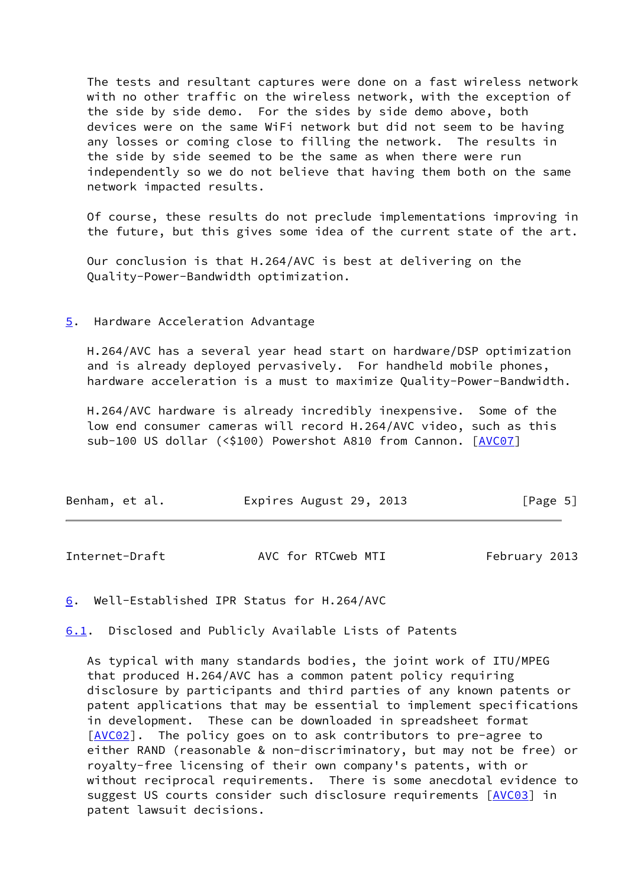The tests and resultant captures were done on a fast wireless network with no other traffic on the wireless network, with the exception of the side by side demo. For the sides by side demo above, both devices were on the same WiFi network but did not seem to be having any losses or coming close to filling the network. The results in the side by side seemed to be the same as when there were run independently so we do not believe that having them both on the same network impacted results.

 Of course, these results do not preclude implementations improving in the future, but this gives some idea of the current state of the art.

 Our conclusion is that H.264/AVC is best at delivering on the Quality-Power-Bandwidth optimization.

#### <span id="page-5-0"></span>[5](#page-5-0). Hardware Acceleration Advantage

 H.264/AVC has a several year head start on hardware/DSP optimization and is already deployed pervasively. For handheld mobile phones, hardware acceleration is a must to maximize Quality-Power-Bandwidth.

 H.264/AVC hardware is already incredibly inexpensive. Some of the low end consumer cameras will record H.264/AVC video, such as this sub-100 US dollar (<\$100) Powershot A810 from Cannon. [[AVC07\]](#page-9-7)

| Benham, et al. | Expires August 29, 2013 | [Page 5] |
|----------------|-------------------------|----------|
|----------------|-------------------------|----------|

<span id="page-5-2"></span>Internet-Draft AVC for RTCweb MTI February 2013

<span id="page-5-1"></span>[6](#page-5-1). Well-Established IPR Status for H.264/AVC

<span id="page-5-3"></span>[6.1](#page-5-3). Disclosed and Publicly Available Lists of Patents

 As typical with many standards bodies, the joint work of ITU/MPEG that produced H.264/AVC has a common patent policy requiring disclosure by participants and third parties of any known patents or patent applications that may be essential to implement specifications in development. These can be downloaded in spreadsheet format [\[AVC02](#page-9-8)]. The policy goes on to ask contributors to pre-agree to either RAND (reasonable & non-discriminatory, but may not be free) or royalty-free licensing of their own company's patents, with or without reciprocal requirements. There is some anecdotal evidence to suggest US courts consider such disclosure requirements [\[AVC03](#page-9-9)] in patent lawsuit decisions.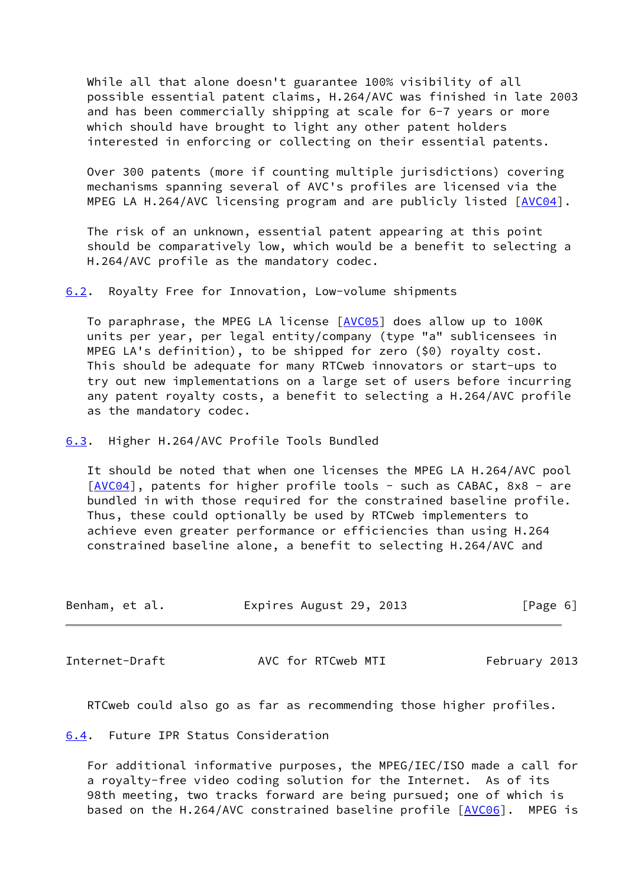While all that alone doesn't guarantee 100% visibility of all possible essential patent claims, H.264/AVC was finished in late 2003 and has been commercially shipping at scale for 6-7 years or more which should have brought to light any other patent holders interested in enforcing or collecting on their essential patents.

 Over 300 patents (more if counting multiple jurisdictions) covering mechanisms spanning several of AVC's profiles are licensed via the MPEG LA H.264/AVC licensing program and are publicly listed [\[AVC04](#page-9-10)].

 The risk of an unknown, essential patent appearing at this point should be comparatively low, which would be a benefit to selecting a H.264/AVC profile as the mandatory codec.

<span id="page-6-0"></span>[6.2](#page-6-0). Royalty Free for Innovation, Low-volume shipments

 To paraphrase, the MPEG LA license [[AVC05\]](#page-9-11) does allow up to 100K units per year, per legal entity/company (type "a" sublicensees in MPEG LA's definition), to be shipped for zero (\$0) royalty cost. This should be adequate for many RTCweb innovators or start-ups to try out new implementations on a large set of users before incurring any patent royalty costs, a benefit to selecting a H.264/AVC profile as the mandatory codec.

<span id="page-6-1"></span>[6.3](#page-6-1). Higher H.264/AVC Profile Tools Bundled

 It should be noted that when one licenses the MPEG LA H.264/AVC pool [\[AVC04](#page-9-10)], patents for higher profile tools - such as CABAC, 8x8 - are bundled in with those required for the constrained baseline profile. Thus, these could optionally be used by RTCweb implementers to achieve even greater performance or efficiencies than using H.264 constrained baseline alone, a benefit to selecting H.264/AVC and

| Benham, et al. | Expires August 29, 2013 | [Page 6] |
|----------------|-------------------------|----------|
|                |                         |          |

<span id="page-6-3"></span>Internet-Draft AVC for RTCweb MTI February 2013

RTCweb could also go as far as recommending those higher profiles.

<span id="page-6-2"></span>[6.4](#page-6-2). Future IPR Status Consideration

 For additional informative purposes, the MPEG/IEC/ISO made a call for a royalty-free video coding solution for the Internet. As of its 98th meeting, two tracks forward are being pursued; one of which is based on the H.264/AVC constrained baseline profile [\[AVC06](#page-9-12)]. MPEG is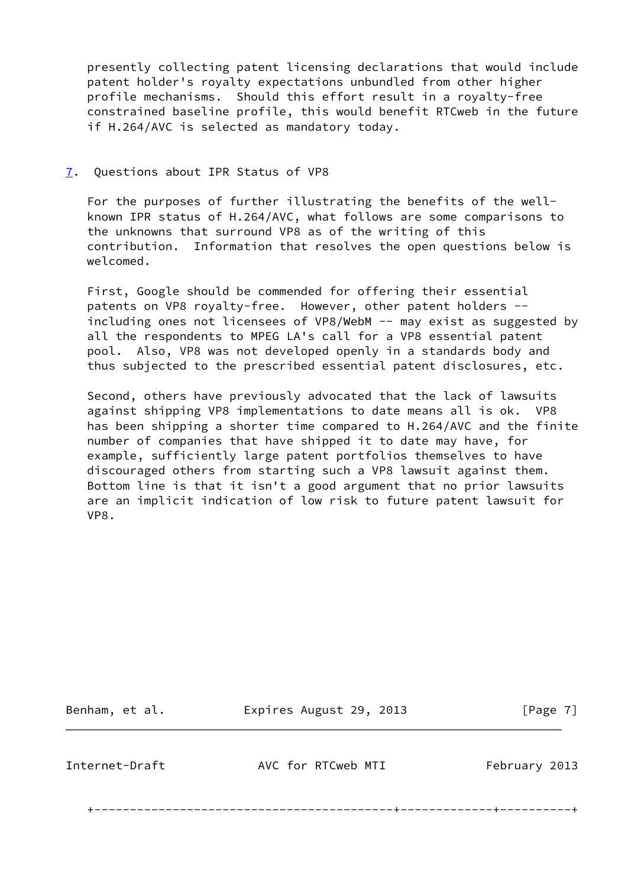presently collecting patent licensing declarations that would include patent holder's royalty expectations unbundled from other higher profile mechanisms. Should this effort result in a royalty-free constrained baseline profile, this would benefit RTCweb in the future if H.264/AVC is selected as mandatory today.

## <span id="page-7-0"></span>[7](#page-7-0). Questions about IPR Status of VP8

 For the purposes of further illustrating the benefits of the well known IPR status of H.264/AVC, what follows are some comparisons to the unknowns that surround VP8 as of the writing of this contribution. Information that resolves the open questions below is welcomed.

 First, Google should be commended for offering their essential patents on VP8 royalty-free. However, other patent holders - including ones not licensees of VP8/WebM -- may exist as suggested by all the respondents to MPEG LA's call for a VP8 essential patent pool. Also, VP8 was not developed openly in a standards body and thus subjected to the prescribed essential patent disclosures, etc.

 Second, others have previously advocated that the lack of lawsuits against shipping VP8 implementations to date means all is ok. VP8 has been shipping a shorter time compared to H.264/AVC and the finite number of companies that have shipped it to date may have, for example, sufficiently large patent portfolios themselves to have discouraged others from starting such a VP8 lawsuit against them. Bottom line is that it isn't a good argument that no prior lawsuits are an implicit indication of low risk to future patent lawsuit for VP8.

Benham, et al. **Expires August 29, 2013** [Page 7] Internet-Draft AVC for RTCweb MTI February 2013

+------------------------------------------+-------------+----------+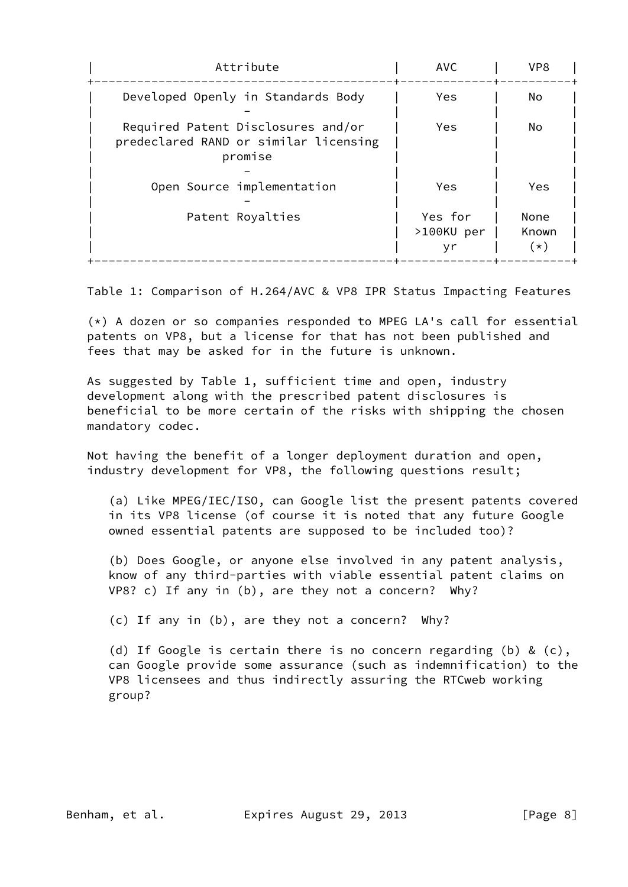| Attribute                                                                              | <b>AVC</b>                  | VP8                        |
|----------------------------------------------------------------------------------------|-----------------------------|----------------------------|
| Developed Openly in Standards Body                                                     | Yes                         | No.                        |
| Required Patent Disclosures and/or<br>predeclared RAND or similar licensing<br>promise | Yes                         | No.                        |
| Open Source implementation                                                             | Yes                         | Yes                        |
| Patent Royalties                                                                       | Yes for<br>>100KU per<br>γr | None<br>Known<br>$(\star)$ |

Table 1: Comparison of H.264/AVC & VP8 IPR Status Impacting Features

 (\*) A dozen or so companies responded to MPEG LA's call for essential patents on VP8, but a license for that has not been published and fees that may be asked for in the future is unknown.

 As suggested by Table 1, sufficient time and open, industry development along with the prescribed patent disclosures is beneficial to be more certain of the risks with shipping the chosen mandatory codec.

 Not having the benefit of a longer deployment duration and open, industry development for VP8, the following questions result;

 (a) Like MPEG/IEC/ISO, can Google list the present patents covered in its VP8 license (of course it is noted that any future Google owned essential patents are supposed to be included too)?

 (b) Does Google, or anyone else involved in any patent analysis, know of any third-parties with viable essential patent claims on VP8? c) If any in (b), are they not a concern? Why?

(c) If any in (b), are they not a concern? Why?

 (d) If Google is certain there is no concern regarding (b) & (c), can Google provide some assurance (such as indemnification) to the VP8 licensees and thus indirectly assuring the RTCweb working group?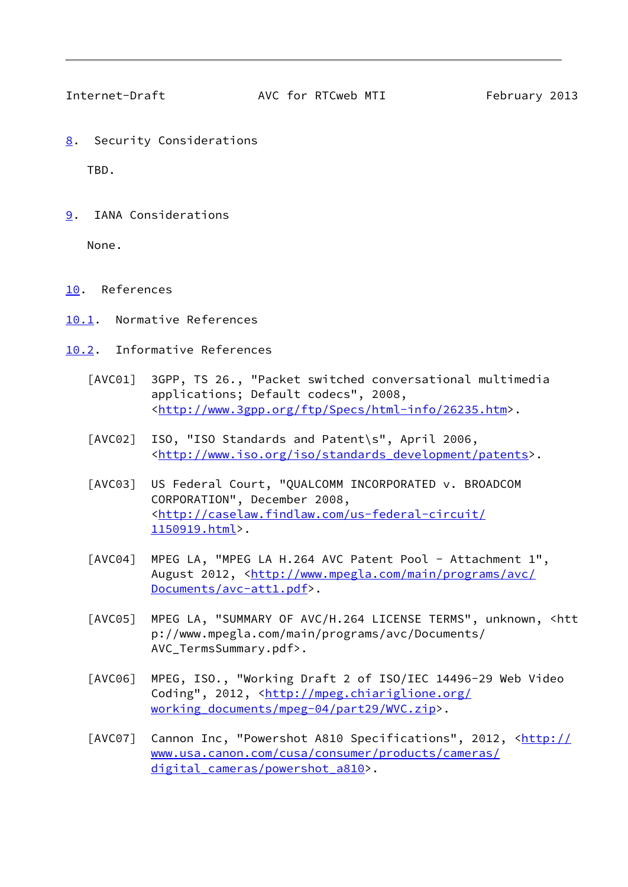<span id="page-9-1"></span>

<span id="page-9-0"></span>[8](#page-9-0). Security Considerations

TBD.

<span id="page-9-2"></span>[9](#page-9-2). IANA Considerations

None.

- <span id="page-9-3"></span>[10.](#page-9-3) References
- <span id="page-9-4"></span>[10.1](#page-9-4). Normative References
- <span id="page-9-12"></span><span id="page-9-11"></span><span id="page-9-10"></span><span id="page-9-9"></span><span id="page-9-8"></span><span id="page-9-7"></span><span id="page-9-6"></span><span id="page-9-5"></span>[10.2](#page-9-5). Informative References
	- [AVC01] 3GPP, TS 26., "Packet switched conversational multimedia applications; Default codecs", 2008, [<http://www.3gpp.org/ftp/Specs/html-info/26235.htm>](http://www.3gpp.org/ftp/Specs/html-info/26235.htm).
	- [AVC02] ISO, "ISO Standards and Patent\s", April 2006, [<http://www.iso.org/iso/standards\\_development/patents](http://www.iso.org/iso/standards_development/patents)>.
	- [AVC03] US Federal Court, "QUALCOMM INCORPORATED v. BROADCOM CORPORATION", December 2008, [<http://caselaw.findlaw.com/us-federal-circuit/](http://caselaw.findlaw.com/us-federal-circuit/1150919.html) [1150919.html](http://caselaw.findlaw.com/us-federal-circuit/1150919.html)>.
	- [AVC04] MPEG LA, "MPEG LA H.264 AVC Patent Pool Attachment 1", August 2012, <[http://www.mpegla.com/main/programs/avc/](http://www.mpegla.com/main/programs/avc/Documents/avc-att1.pdf) [Documents/avc-att1.pdf](http://www.mpegla.com/main/programs/avc/Documents/avc-att1.pdf)>.
	- [AVC05] MPEG LA, "SUMMARY OF AVC/H.264 LICENSE TERMS", unknown, <htt p://www.mpegla.com/main/programs/avc/Documents/ AVC\_TermsSummary.pdf>.
	- [AVC06] MPEG, ISO., "Working Draft 2 of ISO/IEC 14496-29 Web Video Coding", 2012, [<http://mpeg.chiariglione.org/](http://mpeg.chiariglione.org/working_documents/mpeg-04/part29/WVC.zip) working documents/mpeg-04/part29/WVC.zip>.
	- [AVC07] Cannon Inc, "Powershot A810 Specifications", 2012, [<http://](http://www.usa.canon.com/cusa/consumer/products/cameras/digital_cameras/powershot_a810) [www.usa.canon.com/cusa/consumer/products/cameras/](http://www.usa.canon.com/cusa/consumer/products/cameras/digital_cameras/powershot_a810) digital cameras/powershot a810>.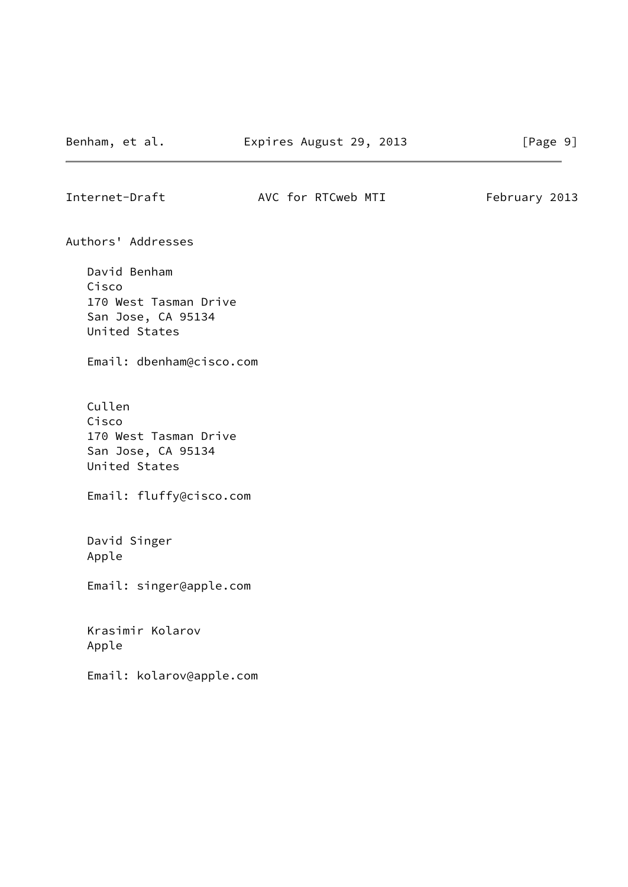Internet-Draft AVC for RTCweb MTI February 2013

Authors' Addresses

 David Benham Cisco 170 West Tasman Drive San Jose, CA 95134 United States

Email: dbenham@cisco.com

 Cullen Cisco 170 West Tasman Drive San Jose, CA 95134 United States

Email: fluffy@cisco.com

 David Singer Apple

Email: singer@apple.com

 Krasimir Kolarov Apple

Email: kolarov@apple.com